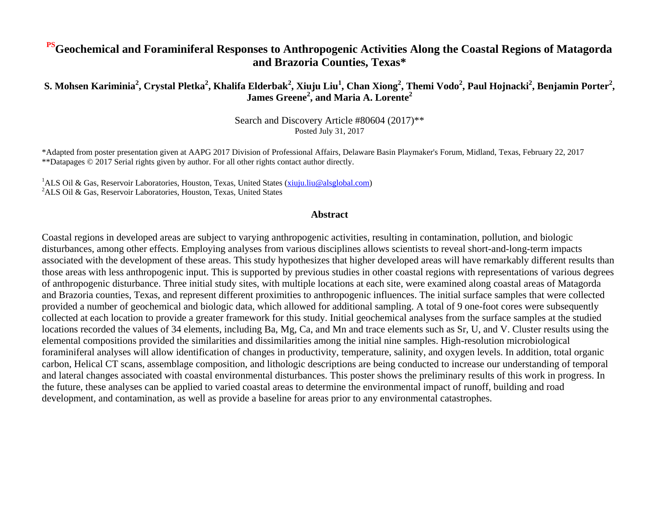#### **PSGeochemical and Foraminiferal Responses to Anthropogenic Activities Along the Coastal Regions of Matagorda and Brazoria Counties, Texas\***

S. Mohsen Kariminia<sup>2</sup>, Crystal Pletka<sup>2</sup>, Khalifa Elderbak<sup>2</sup>, Xiuju Liu<sup>1</sup>, Chan Xiong<sup>2</sup>, Themi Vodo<sup>2</sup>, Paul Hojnacki<sup>2</sup>, Benjamin Porter<sup>2</sup>, **James Greene<sup>2</sup> , and Maria A. Lorente<sup>2</sup>**

> Search and Discovery Article #80604 (2017)\*\* Posted July 31, 2017

\*Adapted from poster presentation given at AAPG 2017 Division of Professional Affairs, Delaware Basin Playmaker's Forum, Midland, Texas, February 22, 2017 \*\*Datapages © 2017 Serial rights given by author. For all other rights contact author directly.

<sup>1</sup>ALS Oil & Gas, Reservoir Laboratories, Houston, Texas, United States [\(xiuju.liu@alsglobal.com\)](mailto:xiuju.liu@alsglobal.com)  ${}^{2}$ ALS Oil & Gas, Reservoir Laboratories, Houston, Texas, United States

#### **Abstract**

Coastal regions in developed areas are subject to varying anthropogenic activities, resulting in contamination, pollution, and biologic disturbances, among other effects. Employing analyses from various disciplines allows scientists to reveal short-and-long-term impacts associated with the development of these areas. This study hypothesizes that higher developed areas will have remarkably different results than those areas with less anthropogenic input. This is supported by previous studies in other coastal regions with representations of various degrees of anthropogenic disturbance. Three initial study sites, with multiple locations at each site, were examined along coastal areas of Matagorda and Brazoria counties, Texas, and represent different proximities to anthropogenic influences. The initial surface samples that were collected provided a number of geochemical and biologic data, which allowed for additional sampling. A total of 9 one-foot cores were subsequently collected at each location to provide a greater framework for this study. Initial geochemical analyses from the surface samples at the studied locations recorded the values of 34 elements, including Ba, Mg, Ca, and Mn and trace elements such as Sr, U, and V. Cluster results using the elemental compositions provided the similarities and dissimilarities among the initial nine samples. High-resolution microbiological foraminiferal analyses will allow identification of changes in productivity, temperature, salinity, and oxygen levels. In addition, total organic carbon, Helical CT scans, assemblage composition, and lithologic descriptions are being conducted to increase our understanding of temporal and lateral changes associated with coastal environmental disturbances. This poster shows the preliminary results of this work in progress. In the future, these analyses can be applied to varied coastal areas to determine the environmental impact of runoff, building and road development, and contamination, as well as provide a baseline for areas prior to any environmental catastrophes.